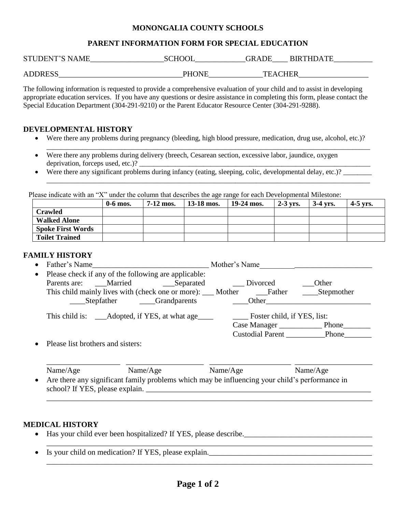### **MONONGALIA COUNTY SCHOOLS**

## **PARENT INFORMATION FORM FOR SPECIAL EDUCATION**

| <b>STUDENT'S NAME</b> | <b>SCHOOL</b> | GRADE<br><b>BIRTHDATE</b> |  |
|-----------------------|---------------|---------------------------|--|
|                       |               |                           |  |
| <b>ADDRESS</b>        | <b>PHONE</b>  | <b>TEACHER</b>            |  |

The following information is requested to provide a comprehensive evaluation of your child and to assist in developing appropriate education services. If you have any questions or desire assistance in completing this form, please contact the Special Education Department (304-291-9210) or the Parent Educator Resource Center (304-291-9288).

### **DEVELOPMENTAL HISTORY**

Were there any problems during pregnancy (bleeding, high blood pressure, medication, drug use, alcohol, etc.)?

\_\_\_\_\_\_\_\_\_\_\_\_\_\_\_\_\_\_\_\_\_\_\_\_\_\_\_\_\_\_\_\_\_\_\_\_\_\_\_\_\_\_\_\_\_\_\_\_\_\_\_\_\_\_\_\_\_\_\_\_\_\_\_\_\_\_\_\_\_\_\_\_\_\_\_\_\_\_\_\_\_\_\_\_\_\_\_\_\_\_\_

- Were there any problems during delivery (breech, Cesarean section, excessive labor, jaundice, oxygen deprivation, forceps used, etc.)?
- Were there any significant problems during infancy (eating, sleeping, colic, developmental delay, etc.)? \_\_\_\_\_\_\_\_\_\_\_ \_\_\_\_\_\_\_\_\_\_\_\_\_\_\_\_\_\_\_\_\_\_\_\_\_\_\_\_\_\_\_\_\_\_\_\_\_\_\_\_\_\_\_\_\_\_\_\_\_\_\_\_\_\_\_\_\_\_\_\_\_\_\_\_\_\_\_\_\_\_\_\_\_\_\_\_\_\_\_\_\_\_\_\_\_\_\_\_\_\_\_

Please indicate with an "X" under the column that describes the age range for each Developmental Milestone:

|                          | $0-6$ mos. | $7-12$ mos. | 13-18 mos. | 19-24 mos. | $2-3$ vrs. | $3-4$ yrs. | $4-5$ vrs. |
|--------------------------|------------|-------------|------------|------------|------------|------------|------------|
| <b>Crawled</b>           |            |             |            |            |            |            |            |
| <b>Walked Alone</b>      |            |             |            |            |            |            |            |
| <b>Spoke First Words</b> |            |             |            |            |            |            |            |
| <b>Toilet Trained</b>    |            |             |            |            |            |            |            |

#### **FAMILY HISTORY**

| $\bullet$ | Father's Name                                                                 | Mother's Name                 |            |  |  |
|-----------|-------------------------------------------------------------------------------|-------------------------------|------------|--|--|
| $\bullet$ | Please check if any of the following are applicable:                          |                               |            |  |  |
|           | Parents are: Married<br>___Separated                                          | Divorced                      | Other      |  |  |
|           | This child mainly lives with (check one or more): ____ Mother ________ Father |                               | Stepmother |  |  |
|           | Stepfather Grandparents                                                       | Other                         |            |  |  |
|           | This child is: _______ Adopted, if YES, at what age                           | Foster child, if YES, list:   |            |  |  |
|           |                                                                               | Case Manager Phone            |            |  |  |
|           |                                                                               | <b>Custodial Parent Phone</b> |            |  |  |
| $\bullet$ | Please list brothers and sisters:                                             |                               |            |  |  |

Name/Age Name/Age Name/Age Name/Age Name/Age Name/Age Name/Age Are there any significant family problems which may be influencing your child's performance in school? If YES, please explain.

\_\_\_\_\_\_\_\_\_\_\_\_\_\_\_\_\_\_\_ \_\_\_\_\_\_\_\_\_\_\_\_\_\_\_\_\_\_\_\_ \_\_\_\_\_\_\_\_\_\_\_\_\_\_\_\_\_\_\_\_\_ \_\_\_\_\_\_\_\_\_\_\_\_\_\_\_\_\_\_\_\_

\_\_\_\_\_\_\_\_\_\_\_\_\_\_\_\_\_\_\_\_\_\_\_\_\_\_\_\_\_\_\_\_\_\_\_\_\_\_\_\_\_\_\_\_\_\_\_\_\_\_\_\_\_\_\_\_\_\_\_\_\_\_\_\_\_\_\_\_\_\_\_\_\_\_\_\_\_\_\_\_\_\_\_\_

\_\_\_\_\_\_\_\_\_\_\_\_\_\_\_\_\_\_\_\_\_\_\_\_\_\_\_\_\_\_\_\_\_\_\_\_\_\_\_\_\_\_\_\_\_\_\_\_\_\_\_\_\_\_\_\_\_\_\_\_\_\_\_\_\_\_\_\_\_\_\_\_\_\_\_\_\_\_\_\_\_\_\_\_

### **MEDICAL HISTORY**

- Has your child ever been hospitalized? If YES, please describe.\_\_\_\_\_\_\_\_\_\_\_\_\_\_\_\_\_\_\_\_\_\_\_\_\_\_\_\_\_\_\_\_\_
- Is your child on medication? If YES, please explain.